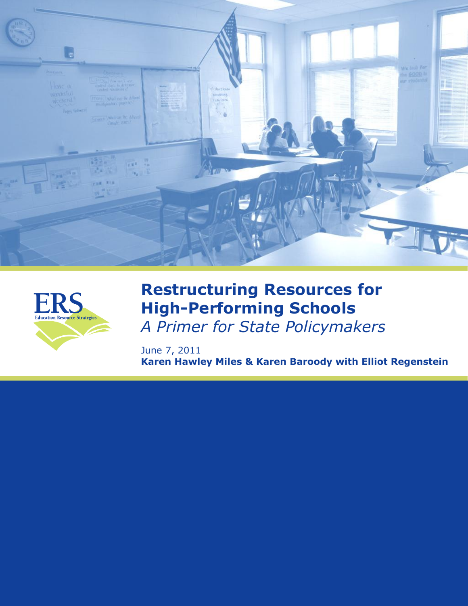



# **Restructuring Resources for High-Performing Schools** *A Primer for State Policymakers*

June 7, 2011 **Karen Hawley Miles & Karen Baroody with Elliot Regenstein**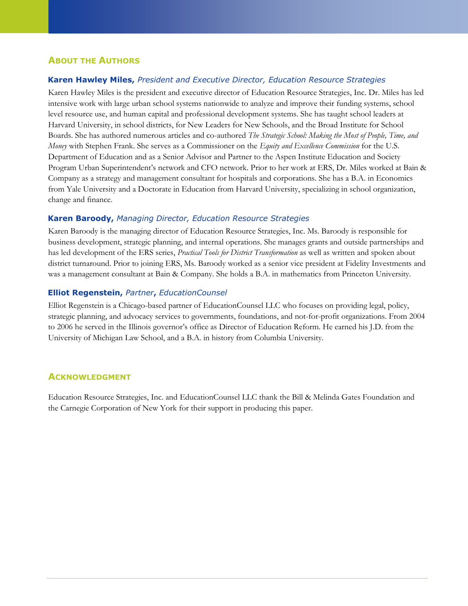## **ABOUT THE AUTHORS**

## **Karen Hawley Miles,** *President and Executive Director, Education Resource Strategies*

Karen Hawley Miles is the president and executive director of Education Resource Strategies, Inc. Dr. Miles has led intensive work with large urban school systems nationwide to analyze and improve their funding systems, school level resource use, and human capital and professional development systems. She has taught school leaders at Harvard University, in school districts, for New Leaders for New Schools, and the Broad Institute for School Boards. She has authored numerous articles and co-authored *The Strategic School: Making the Most of People, Time, and Money* with Stephen Frank. She serves as a Commissioner on the *Equity and Excellence Commission* for the U.S. Department of Education and as a Senior Advisor and Partner to the Aspen Institute Education and Society Program Urban Superintendent's network and CFO network. Prior to her work at ERS, Dr. Miles worked at Bain & Company as a strategy and management consultant for hospitals and corporations. She has a B.A. in Economics from Yale University and a Doctorate in Education from Harvard University, specializing in school organization, change and finance.

## **Karen Baroody,** *Managing Director, Education Resource Strategies*

Karen Baroody is the managing director of Education Resource Strategies, Inc. Ms. Baroody is responsible for business development, strategic planning, and internal operations. She manages grants and outside partnerships and has led development of the ERS series, *Practical Tools for District Transformation* as well as written and spoken about district turnaround. Prior to joining ERS, Ms. Baroody worked as a senior vice president at Fidelity Investments and was a management consultant at Bain & Company. She holds a B.A. in mathematics from Princeton University.

## **Elliot Regenstein,** *Partner***,** *EducationCounsel*

Elliot Regenstein is a Chicago-based partner of EducationCounsel LLC who focuses on providing legal, policy, strategic planning, and advocacy services to governments, foundations, and not-for-profit organizations. From 2004 to 2006 he served in the Illinois governor's office as Director of Education Reform. He earned his J.D. from the University of Michigan Law School, and a B.A. in history from Columbia University.

## **ACKNOWLEDGMENT**

Education Resource Strategies, Inc. and EducationCounsel LLC thank the Bill & Melinda Gates Foundation and the Carnegie Corporation of New York for their support in producing this paper.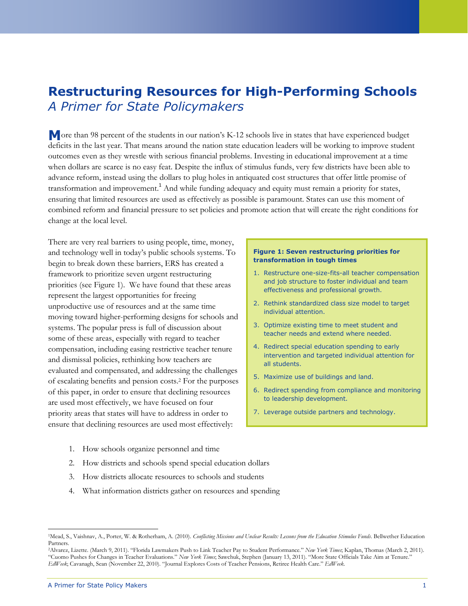## **Restructuring Resources for High-Performing Schools** *A Primer for State Policymakers*

**M** ore than 98 percent of the students in our nation's K-12 schools live in states that have experienced budget deficits in the last year. That means around the nation state education leaders will be working to improve student outcomes even as they wrestle with serious financial problems. Investing in educational improvement at a time when dollars are scarce is no easy feat. Despite the influx of stimulus funds, very few districts have been able to advance reform, instead using the dollars to plug holes in antiquated cost structures that offer little promise of transformation and improvement.<sup>1</sup> And while funding adequacy and equity must remain a priority for states, ensuring that limited resources are used as effectively as possible is paramount. States can use this moment of combined reform and financial pressure to set policies and promote action that will create the right conditions for change at the local level.

and technology well in today's public schools systems. To begin to break down these barriers, ERS has created a framework to prioritize seven urgent restructuring priorities (see Figure 1). We have found that these areas represent the largest opportunities for freeing unproductive use of resources and at the same time moving toward higher-performing designs for schools and systems. The popular press is full of discussion about some of these areas, especially with regard to teacher compensation, including easing restrictive teacher tenure and dismissal policies, rethinking how teachers are evaluated and compensated, and addressing the challenges of escalating benefits and pension costs. <sup>2</sup> For the purposes of this paper, in order to ensure that declining resources are used most effectively, we have focused on four priority areas that states will have to address in order to ensure that declining resources are used most effectively:

- 1. How schools organize personnel and time
- 2. How districts and schools spend special education dollars
- 3. How districts allocate resources to schools and students
- 4. What information districts gather on resources and spending

## **Figure 1: Seven restructuring priorities for**  There are very real barriers to using people, time, money,

- **transformation in tough times** 1. Restructure one-size-fits-all teacher compensation
- and job structure to foster individual and team effectiveness and professional growth.
- 2. Rethink standardized class size model to target individual attention.
- 3. Optimize existing time to meet student and teacher needs and extend where needed.
- 4. Redirect special education spending to early intervention and targeted individual attention for all students.
- 5. Maximize use of buildings and land.
- 6. Redirect spending from compliance and monitoring to leadership development.
- 7. Leverage outside partners and technology.

<sup>1</sup>Mead, S., Vaishnav, A., Porter, W. & Rotherham, A. (2010). *Conflicting Missions and Unclear Results: Lessons from the Education Stimulus Funds*. Bellwether Education Partners.

<sup>&</sup>lt;sup>2</sup>Alvarez, Lizette. (March 9, 2011). "[Florida Lawmakers Push to Link Teacher P](http://www.nytimes.com/2011/03/09/education/09florida.html?scp=9&sq=states%20teachers%20unions&st=cse)ay to Student Performance." New York Times; Kaplan, Thomas (March 2, 2011). "[Cuomo Pushes for Changes in Teacher Evaluations](http://www.nytimes.com/2011/03/02/nyregion/02teacher.html?scp=1&sq=states%20teacher%20evaluation&st=cse)." New York Times, Sawchuk, Stephen (January 13, 2011). "More State Officials Take Aim at Tenure." *EdWeek*[; Cavanagh,](http://blogs.edweek.org/edweek/state_edwatch/) Sean (November 22, 2010). ―Journal Explores Costs of Teacher Pensions, Retiree Health Care.‖ *EdWeek*.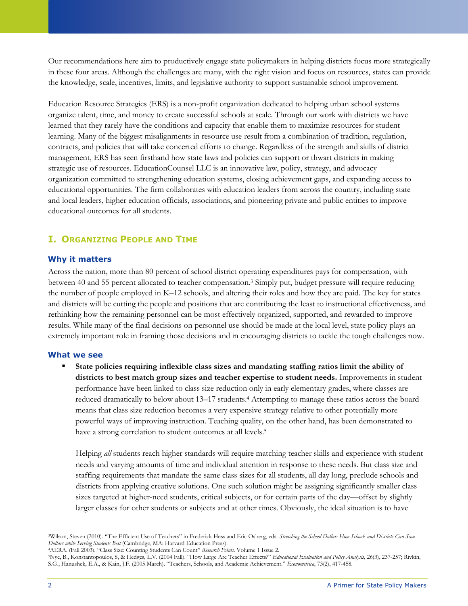Our recommendations here aim to productively engage state policymakers in helping districts focus more strategically in these four areas. Although the challenges are many, with the right vision and focus on resources, states can provide the knowledge, scale, incentives, limits, and legislative authority to support sustainable school improvement.

Education Resource Strategies (ERS) is a non-profit organization dedicated to helping urban school systems organize talent, time, and money to create successful schools at scale. Through our work with districts we have learned that they rarely have the conditions and capacity that enable them to maximize resources for student learning. Many of the biggest misalignments in resource use result from a combination of tradition, regulation, contracts, and policies that will take concerted efforts to change. Regardless of the strength and skills of district management, ERS has seen firsthand how state laws and policies can support or thwart districts in making strategic use of resources. EducationCounsel LLC is an innovative law, policy, strategy, and advocacy organization committed to strengthening education systems, closing achievement gaps, and expanding access to educational opportunities. The firm collaborates with education leaders from across the country, including state and local leaders, higher education officials, associations, and pioneering private and public entities to improve educational outcomes for all students.

## **I. ORGANIZING PEOPLE AND TIME**

#### **Why it matters**

Across the nation, more than 80 percent of school district operating expenditures pays for compensation, with between 40 and 55 percent allocated to teacher compensation.<sup>3</sup> Simply put, budget pressure will require reducing the number of people employed in K–12 schools, and altering their roles and how they are paid. The key for states and districts will be cutting the people and positions that are contributing the least to instructional effectiveness, and rethinking how the remaining personnel can be most effectively organized, supported, and rewarded to improve results. While many of the final decisions on personnel use should be made at the local level, state policy plays an extremely important role in framing those decisions and in encouraging districts to tackle the tough challenges now.

#### **What we see**

 **State policies requiring inflexible class sizes and mandating staffing ratios limit the ability of districts to best match group sizes and teacher expertise to student needs.** Improvements in student performance have been linked to class size reduction only in early elementary grades, where classes are reduced dramatically to below about 13–17 students. <sup>4</sup> Attempting to manage these ratios across the board means that class size reduction becomes a very expensive strategy relative to other potentially more powerful ways of improving instruction. Teaching quality, on the other hand, has been demonstrated to have a strong correlation to student outcomes at all levels.<sup>5</sup>

Helping *all* students reach higher standards will require matching teacher skills and experience with student needs and varying amounts of time and individual attention in response to these needs. But class size and staffing requirements that mandate the same class sizes for all students, all day long, preclude schools and districts from applying creative solutions. One such solution might be assigning significantly smaller class sizes targeted at higher-need students, critical subjects, or for certain parts of the day—offset by slightly larger classes for other students or subjects and at other times. Obviously, the ideal situation is to have

<sup>&</sup>lt;sup>3</sup>Wilson, Steven (2010). "The Efficient Use of Teachers" in Frederick Hess and Eric Osberg, eds. *Stretching the School Dollar: How Schools and Districts Can Save Dollars while Serving Students Best* (Cambridge, MA: Harvard Education Press).

<sup>&</sup>lt;sup>4</sup>AERA. (Fall 2003). "[Class Size: Counting Students Can Count](http://www.aera.net/uploadedFiles/Journals_and_Publications/Research_Points/RP_Fall03.pdf)" Research Points. Volume 1 Issue 2.

<sup>5</sup>Nye, B., Konstantopoulos, S, & Hedges, L.V. (2004 Fall). ―How Large Are Teacher Effects?‖ *Educational Evaluation and Policy Analysis*, 26(3), 237-257; Rivkin, S.G., Hanushek, E.A., & Kain, J.F. (2005 March). "Teachers, Schools, and Academic Achievement." *Econometrica*, 73(2), 417-458.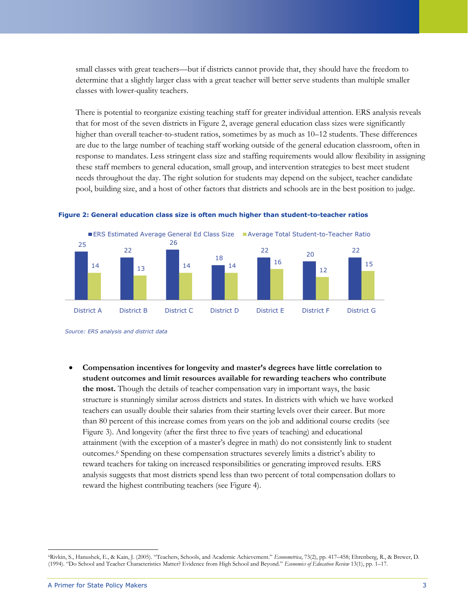small classes with great teachers—but if districts cannot provide that, they should have the freedom to determine that a slightly larger class with a great teacher will better serve students than multiple smaller classes with lower-quality teachers.

There is potential to reorganize existing teaching staff for greater individual attention. ERS analysis reveals that for most of the seven districts in Figure 2, average general education class sizes were significantly higher than overall teacher-to-student ratios, sometimes by as much as  $10-12$  students. These differences are due to the large number of teaching staff working outside of the general education classroom, often in response to mandates. Less stringent class size and staffing requirements would allow flexibility in assigning these staff members to general education, small group, and intervention strategies to best meet student needs throughout the day. The right solution for students may depend on the subject, teacher candidate pool, building size, and a host of other factors that districts and schools are in the best position to judge.





*Source: ERS analysis and district data*

 **Compensation incentives for longevity and master's degrees have little correlation to student outcomes and limit resources available for rewarding teachers who contribute the most.** Though the details of teacher compensation vary in important ways, the basic structure is stunningly similar across districts and states. In districts with which we have worked teachers can usually double their salaries from their starting levels over their career. But more than 80 percent of this increase comes from years on the job and additional course credits (see Figure 3). And longevity (after the first three to five years of teaching) and educational attainment (with the exception of a master's degree in math) do not consistently link to student outcomes.<sup>6</sup> Spending on these compensation structures severely limits a district's ability to reward teachers for taking on increased responsibilities or generating improved results. ERS analysis suggests that most districts spend less than two percent of total compensation dollars to reward the highest contributing teachers (see Figure 4).

 $\overline{a}$ 6Rivkin, S., Hanushek, E., & Kain, J. (2005). "Teachers, Schools, and Academic Achievement." *Econometrica*, 73(2), pp. 417-458; Ehrenberg, R., & Brewer, D. (1994). ―Do School and Teacher Characteristics Matter? Evidence from High School and Beyond.‖ *Economics of Education Review* 13(1), pp. 1–17.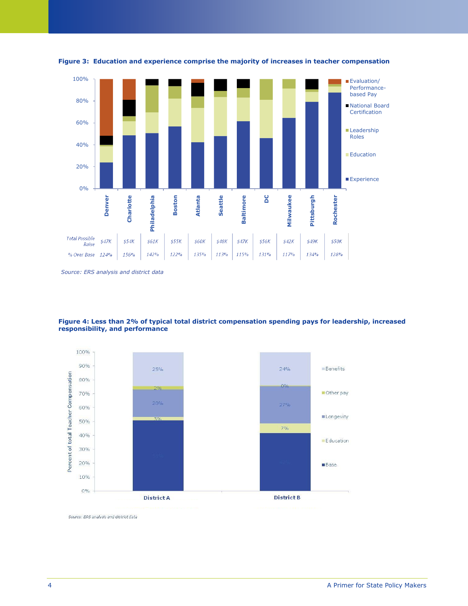



*Source: ERS analysis and district data*





Source: ERS analysis and district data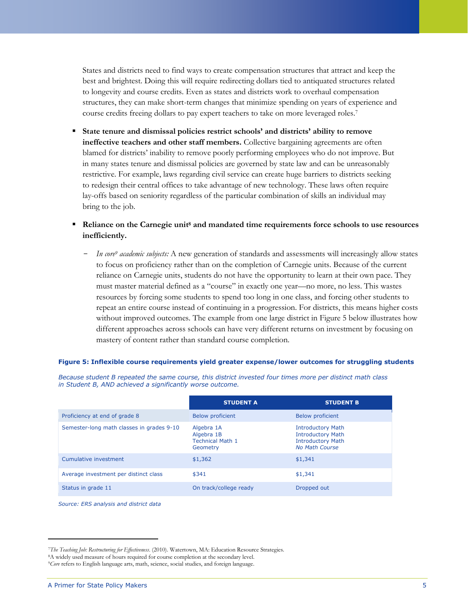States and districts need to find ways to create compensation structures that attract and keep the best and brightest. Doing this will require redirecting dollars tied to antiquated structures related to longevity and course credits. Even as states and districts work to overhaul compensation structures, they can make short-term changes that minimize spending on years of experience and course credits freeing dollars to pay expert teachers to take on more leveraged roles.<sup>7</sup>

- **State tenure and dismissal policies restrict schools' and districts' ability to remove ineffective teachers and other staff members.** Collective bargaining agreements are often blamed for districts' inability to remove poorly performing employees who do not improve. But in many states tenure and dismissal policies are governed by state law and can be unreasonably restrictive. For example, laws regarding civil service can create huge barriers to districts seeking to redesign their central offices to take advantage of new technology. These laws often require lay-offs based on seniority regardless of the particular combination of skills an individual may bring to the job.
- **Reliance on the Carnegie unit<sup>8</sup> and mandated time requirements force schools to use resources inefficiently.**
	- *- In core<sup>9</sup> academic subjects:* A new generation of standards and assessments will increasingly allow states to focus on proficiency rather than on the completion of Carnegie units. Because of the current reliance on Carnegie units, students do not have the opportunity to learn at their own pace. They must master material defined as a "course" in exactly one year—no more, no less. This wastes resources by forcing some students to spend too long in one class, and forcing other students to repeat an entire course instead of continuing in a progression. For districts, this means higher costs without improved outcomes. The example from one large district in Figure 5 below illustrates how different approaches across schools can have very different returns on investment by focusing on mastery of content rather than standard course completion.

|                                           | <b>STUDENT A</b>                                                | <b>STUDENT B</b>                                                                                          |
|-------------------------------------------|-----------------------------------------------------------------|-----------------------------------------------------------------------------------------------------------|
| Proficiency at end of grade 8             | <b>Below proficient</b>                                         | <b>Below proficient</b>                                                                                   |
| Semester-long math classes in grades 9-10 | Algebra 1A<br>Algebra 1B<br><b>Technical Math 1</b><br>Geometry | <b>Introductory Math</b><br><b>Introductory Math</b><br><b>Introductory Math</b><br><b>No Math Course</b> |
| Cumulative investment                     | \$1,362                                                         | \$1,341                                                                                                   |
| Average investment per distinct class     | \$341                                                           | \$1,341                                                                                                   |
| Status in grade 11                        | On track/college ready                                          | Dropped out                                                                                               |

#### **Figure 5: Inflexible course requirements yield greater expense/lower outcomes for struggling students**

*Because student B repeated the same course, this district invested four times more per distinct math class* 

*in Student B, AND achieved a significantly worse outcome.*

*Source: ERS analysis and district data*

<sup>7</sup>*The Teaching Job: Restructuring for Effectiveness*. (2010). Watertown, MA: Education Resource Strategies.

<sup>8</sup>A widely used measure of hours required for course completion at the secondary level.

<sup>9</sup>*Core* refers to English language arts, math, science, social studies, and foreign language.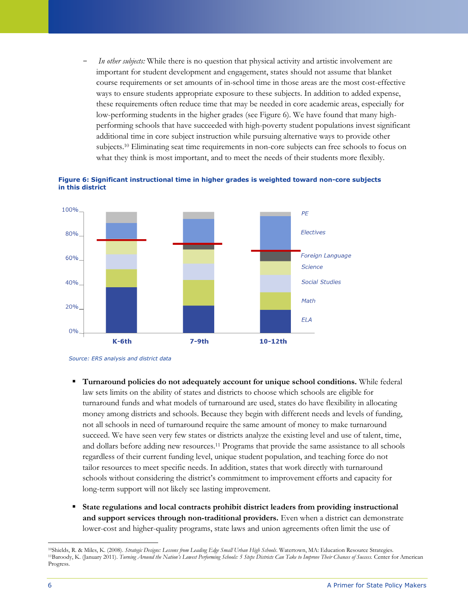*In other subjects:* While there is no question that physical activity and artistic involvement are important for student development and engagement, states should not assume that blanket course requirements or set amounts of in-school time in those areas are the most cost-effective ways to ensure students appropriate exposure to these subjects. In addition to added expense, these requirements often reduce time that may be needed in core academic areas, especially for low-performing students in the higher grades (see Figure 6). We have found that many highperforming schools that have succeeded with high-poverty student populations invest significant additional time in core subject instruction while pursuing alternative ways to provide other subjects.<sup>10</sup> Eliminating seat time requirements in non-core subjects can free schools to focus on what they think is most important, and to meet the needs of their students more flexibly.





- **Turnaround policies do not adequately account for unique school conditions.** While federal law sets limits on the ability of states and districts to choose which schools are eligible for turnaround funds and what models of turnaround are used, states do have flexibility in allocating money among districts and schools. Because they begin with different needs and levels of funding, not all schools in need of turnaround require the same amount of money to make turnaround succeed. We have seen very few states or districts analyze the existing level and use of talent, time, and dollars before adding new resources.<sup>11</sup> Programs that provide the same assistance to all schools regardless of their current funding level, unique student population, and teaching force do not tailor resources to meet specific needs. In addition, states that work directly with turnaround schools without considering the district's commitment to improvement efforts and capacity for long-term support will not likely see lasting improvement.
- **State regulations and local contracts prohibit district leaders from providing instructional and support services through non-traditional providers.** Even when a district can demonstrate lower-cost and higher-quality programs, state laws and union agreements often limit the use of

*Source: ERS analysis and district data* 

<sup>10</sup>Shields, R. & Miles, K. (2008). *Strategic Designs: Lessons from Leading Edge Small Urban High Schools*. Watertown, MA: Education Resource Strategies. <sup>11</sup>Baroody, K. (January 2011). *Turning Around the Nation's Lowest Performing Schools: 5 Steps Districts Can Take to Improve Their Chances of Success.* Center for American Progress.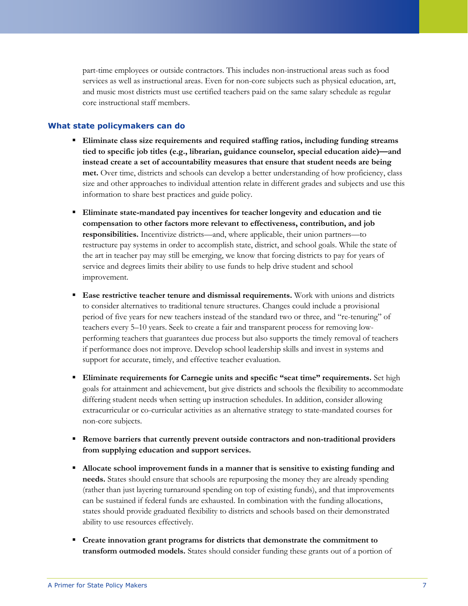part-time employees or outside contractors. This includes non-instructional areas such as food services as well as instructional areas. Even for non-core subjects such as physical education, art, and music most districts must use certified teachers paid on the same salary schedule as regular core instructional staff members.

#### **What state policymakers can do**

- **Eliminate class size requirements and required staffing ratios, including funding streams tied to specific job titles (e.g., librarian, guidance counselor, special education aide)—and instead create a set of accountability measures that ensure that student needs are being met.** Over time, districts and schools can develop a better understanding of how proficiency, class size and other approaches to individual attention relate in different grades and subjects and use this information to share best practices and guide policy.
- **Eliminate state-mandated pay incentives for teacher longevity and education and tie compensation to other factors more relevant to effectiveness, contribution, and job responsibilities.** Incentivize districts—and, where applicable, their union partners—to restructure pay systems in order to accomplish state, district, and school goals. While the state of the art in teacher pay may still be emerging, we know that forcing districts to pay for years of service and degrees limits their ability to use funds to help drive student and school improvement.
- **Ease restrictive teacher tenure and dismissal requirements.** Work with unions and districts to consider alternatives to traditional tenure structures. Changes could include a provisional period of five years for new teachers instead of the standard two or three, and "re-tenuring" of teachers every 5–10 years. Seek to create a fair and transparent process for removing lowperforming teachers that guarantees due process but also supports the timely removal of teachers if performance does not improve. Develop school leadership skills and invest in systems and support for accurate, timely, and effective teacher evaluation.
- **Eliminate requirements for Carnegie units and specific "seat time" requirements.** Set high goals for attainment and achievement, but give districts and schools the flexibility to accommodate differing student needs when setting up instruction schedules. In addition, consider allowing extracurricular or co-curricular activities as an alternative strategy to state-mandated courses for non-core subjects.
- **Remove barriers that currently prevent outside contractors and non-traditional providers from supplying education and support services.**
- **Allocate school improvement funds in a manner that is sensitive to existing funding and needs.** States should ensure that schools are repurposing the money they are already spending (rather than just layering turnaround spending on top of existing funds), and that improvements can be sustained if federal funds are exhausted. In combination with the funding allocations, states should provide graduated flexibility to districts and schools based on their demonstrated ability to use resources effectively.
- **Create innovation grant programs for districts that demonstrate the commitment to transform outmoded models.** States should consider funding these grants out of a portion of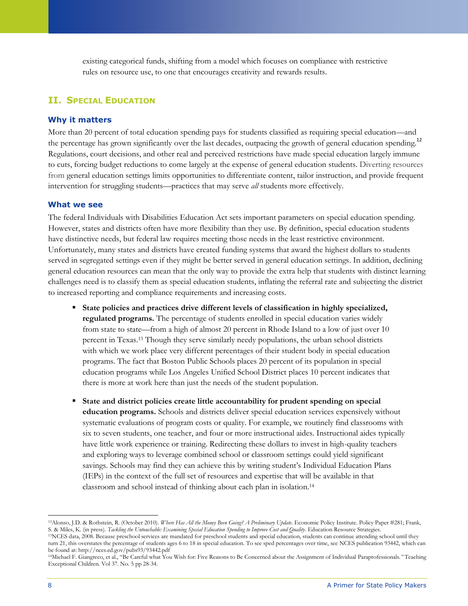existing categorical funds, shifting from a model which focuses on compliance with restrictive rules on resource use, to one that encourages creativity and rewards results.

## **II. SPECIAL EDUCATION**

#### **Why it matters**

More than 20 percent of total education spending pays for students classified as requiring special education—and the percentage has grown significantly over the last decades, outpacing the growth of general education spending.<sup>12</sup> Regulations, court decisions, and other real and perceived restrictions have made special education largely immune to cuts, forcing budget reductions to come largely at the expense of general education students. Diverting resources from general education settings limits opportunities to differentiate content, tailor instruction, and provide frequent intervention for struggling students—practices that may serve *all* students more effectively.

#### **What we see**

The federal Individuals with Disabilities Education Act sets important parameters on special education spending. However, states and districts often have more flexibility than they use. By definition, special education students have distinctive needs, but federal law requires meeting those needs in the least restrictive environment. Unfortunately, many states and districts have created funding systems that award the highest dollars to students served in segregated settings even if they might be better served in general education settings. In addition, declining general education resources can mean that the only way to provide the extra help that students with distinct learning challenges need is to classify them as special education students, inflating the referral rate and subjecting the district to increased reporting and compliance requirements and increasing costs.

- **State policies and practices drive different levels of classification in highly specialized, regulated programs.** The percentage of students enrolled in special education varies widely from state to state—from a high of almost 20 percent in Rhode Island to a low of just over 10 percent in Texas. <sup>13</sup> Though they serve similarly needy populations, the urban school districts with which we work place very different percentages of their student body in special education programs. The fact that Boston Public Schools places 20 percent of its population in special education programs while Los Angeles Unified School District places 10 percent indicates that there is more at work here than just the needs of the student population.
- **State and district policies create little accountability for prudent spending on special education programs.** Schools and districts deliver special education services expensively without systematic evaluations of program costs or quality. For example, we routinely find classrooms with six to seven students, one teacher, and four or more instructional aides. Instructional aides typically have little work experience or training. Redirecting these dollars to invest in high-quality teachers and exploring ways to leverage combined school or classroom settings could yield significant savings. Schools may find they can achieve this by writing student's Individual Education Plans (IEPs) in the context of the full set of resources and expertise that will be available in that classroom and school instead of thinking about each plan in isolation.<sup>14</sup>

<sup>12</sup>Alonso, J.D. & Rothstein, R. (October 2010). *Where Has All the Money Been Going? A Preliminary Update.* Economic Policy Institute. Policy Paper #281; Frank, S. & Miles, K. (in press). *Tackling the Untouchable: Examining Special Education Spending to Improve Cost and Quality*. Education Resource Strategies.

<sup>13</sup>NCES data, 2008. Because preschool services are mandated for preschool students and special education, students can continue attending school until they turn 21, this overstates the percentage of students ages 6 to 18 in special education. To see sped percentages over time, see NCES publication 93442, which can be found at: http://nces.ed.gov/pubs93/93442.pdf

<sup>14</sup>Michael F. Giangreco, et al., ―Be Careful what You Wish for: Five Reasons to Be Concerned about the Assignment of Individual Paraprofessionals*."* Teaching Exceptional Children. Vol 37. No. 5 pp 28-34.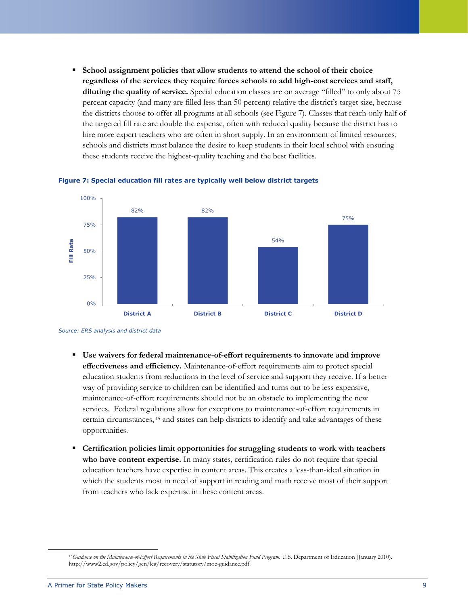**School assignment policies that allow students to attend the school of their choice regardless of the services they require forces schools to add high-cost services and staff, diluting the quality of service.** Special education classes are on average "filled" to only about 75 percent capacity (and many are filled less than 50 percent) relative the district's target size, because the districts choose to offer all programs at all schools (see Figure 7). Classes that reach only half of the targeted fill rate are double the expense, often with reduced quality because the district has to hire more expert teachers who are often in short supply. In an environment of limited resources, schools and districts must balance the desire to keep students in their local school with ensuring these students receive the highest-quality teaching and the best facilities.





*Source: ERS analysis and district data* 

- **Use waivers for federal maintenance-of-effort requirements to innovate and improve effectiveness and efficiency.** Maintenance-of-effort requirements aim to protect special education students from reductions in the level of service and support they receive. If a better way of providing service to children can be identified and turns out to be less expensive, maintenance-of-effort requirements should not be an obstacle to implementing the new services. Federal regulations allow for exceptions to maintenance-of-effort requirements in certain circumstances, <sup>15</sup> and states can help districts to identify and take advantages of these opportunities.
- **Certification policies limit opportunities for struggling students to work with teachers who have content expertise.** In many states, certification rules do not require that special education teachers have expertise in content areas. This creates a less-than-ideal situation in which the students most in need of support in reading and math receive most of their support from teachers who lack expertise in these content areas.

<sup>15</sup>*Guidance on the Maintenance-of-Effort Requirements in the State Fiscal Stabilization Fund Program.* U.S. Department of Education (January 2010). http://www2.ed.gov/policy/gen/leg/recovery/statutory/moe-guidance.pdf.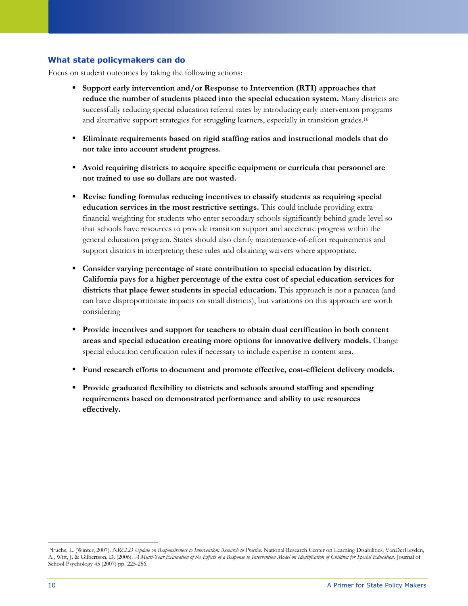## **What state policymakers can do**

Focus on student outcomes by taking the following actions:

- **Support early intervention and/or Response to Intervention (RTI) approaches that reduce the number of students placed into the special education system.** Many districts are successfully reducing special education referral rates by introducing early intervention programs and alternative support strategies for struggling learners, especially in transition grades.<sup>16</sup>
- **Eliminate requirements based on rigid staffing ratios and instructional models that do not take into account student progress.**
- **Avoid requiring districts to acquire specific equipment or curricula that personnel are not trained to use so dollars are not wasted.**
- **Revise funding formulas reducing incentives to classify students as requiring special education services in the most restrictive settings.** This could include providing extra financial weighting for students who enter secondary schools significantly behind grade level so that schools have resources to provide transition support and accelerate progress within the general education program. States should also clarify maintenance-of-effort requirements and support districts in interpreting these rules and obtaining waivers where appropriate.
- **Consider varying percentage of state contribution to special education by district. California pays for a higher percentage of the extra cost of special education services for districts that place fewer students in special education.** This approach is not a panacea (and can have disproportionate impacts on small districts), but variations on this approach are worth considering
- **Provide incentives and support for teachers to obtain dual certification in both content areas and special education creating more options for innovative delivery models.** Change special education certification rules if necessary to include expertise in content area.
- **Fund research efforts to document and promote effective, cost-efficient delivery models.**
- **Provide graduated flexibility to districts and schools around staffing and spending requirements based on demonstrated performance and ability to use resources effectively.**

 $\overline{a}$ <sup>16</sup>Fuchs, L. (Winter, 2007). *NRCLD Update on Responsiveness to Intervention: Research to Practice*. National Research Center on Learning Disabilities; VanDerHeyden, A., Witt, J. & Gilbertson, D. (2006). *A Multi-Year Evaluation of the Effects of a Response to Intervention Model on Identification of Children for Special Education*. Journal of School Psychology 45 (2007) pp. 225-256.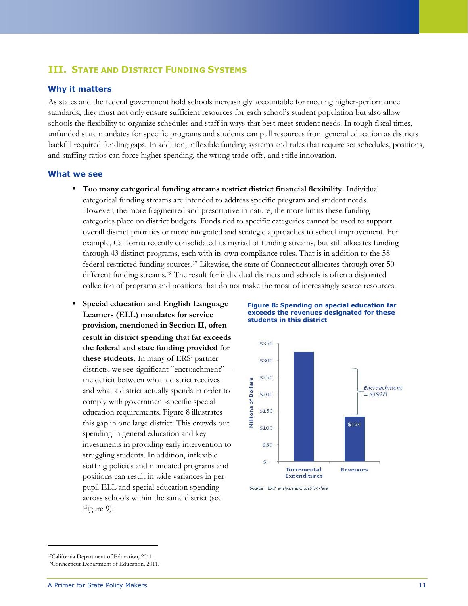## **III. STATE AND DISTRICT FUNDING SYSTEMS**

#### **Why it matters**

As states and the federal government hold schools increasingly accountable for meeting higher-performance standards, they must not only ensure sufficient resources for each school's student population but also allow schools the flexibility to organize schedules and staff in ways that best meet student needs. In tough fiscal times, unfunded state mandates for specific programs and students can pull resources from general education as districts backfill required funding gaps. In addition, inflexible funding systems and rules that require set schedules, positions, and staffing ratios can force higher spending, the wrong trade-offs, and stifle innovation.

#### **What we see**

- **Too many categorical funding streams restrict district financial flexibility.** Individual categorical funding streams are intended to address specific program and student needs. However, the more fragmented and prescriptive in nature, the more limits these funding categories place on district budgets. Funds tied to specific categories cannot be used to support overall district priorities or more integrated and strategic approaches to school improvement. For example, California recently consolidated its myriad of funding streams, but still allocates funding through 43 distinct programs, each with its own compliance rules. That is in addition to the 58 federal restricted funding sources. <sup>17</sup> Likewise, the state of Connecticut allocates through over 50 different funding streams.<sup>18</sup> The result for individual districts and schools is often a disjointed collection of programs and positions that do not make the most of increasingly scarce resources.
- **Special education and English Language Learners (ELL) mandates for service provision, mentioned in Section II, often result in district spending that far exceeds the federal and state funding provided for these students.** In many of ERS' partner districts, we see significant "encroachment"the deficit between what a district receives and what a district actually spends in order to comply with government-specific special education requirements. Figure 8 illustrates this gap in one large district. This crowds out spending in general education and key investments in providing early intervention to struggling students. In addition, inflexible staffing policies and mandated programs and positions can result in wide variances in per pupil ELL and special education spending across schools within the same district (see Figure 9).





Source: FRS analysis and district data

<sup>17</sup>California Department of Education, 2011.

<sup>18</sup>Connecticut Department of Education, 2011.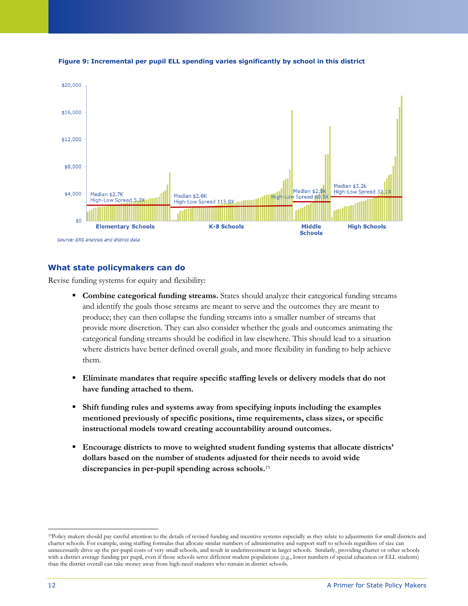

**Figure 9: Incremental per pupil ELL spending varies significantly by school in this district**

## **What state policymakers can do**

Revise funding systems for equity and flexibility:

- **Combine categorical funding streams.** States should analyze their categorical funding streams and identify the goals those streams are meant to serve and the outcomes they are meant to produce; they can then collapse the funding streams into a smaller number of streams that provide more discretion. They can also consider whether the goals and outcomes animating the categorical funding streams should be codified in law elsewhere. This should lead to a situation where districts have better defined overall goals, and more flexibility in funding to help achieve them.
- **Eliminate mandates that require specific staffing levels or delivery models that do not have funding attached to them.**
- **Shift funding rules and systems away from specifying inputs including the examples mentioned previously of specific positions, time requirements, class sizes, or specific instructional models toward creating accountability around outcomes.**
- **Encourage districts to move to weighted student funding systems that allocate districts' dollars based on the number of students adjusted for their needs to avoid wide discrepancies in per-pupil spending across schools.**<sup>19</sup>

<sup>19</sup>Policy makers should pay careful attention to the details of revised funding and incentive systems especially as they relate to adjustments for small districts and charter schools. For example, using staffing formulas that allocate similar numbers of administrative and support staff to schools regardless of size can unnecessarily drive up the per-pupil costs of very small schools, and result in underinvestment in larger schools. Similarly, providing charter or other schools with a district average funding per pupil, even if those schools serve different student populations (e.g., lower numbers of special education or ELL students) than the district overall can take money away from high-need students who remain in district schools.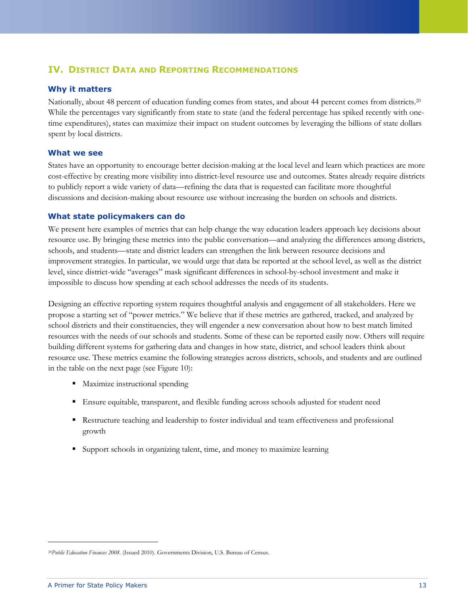## **IV. DISTRICT DATA AND REPORTING RECOMMENDATIONS**

#### **Why it matters**

Nationally, about 48 percent of education funding comes from states, and about 44 percent comes from districts.<sup>20</sup> While the percentages vary significantly from state to state (and the federal percentage has spiked recently with onetime expenditures), states can maximize their impact on student outcomes by leveraging the billions of state dollars spent by local districts.

#### **What we see**

States have an opportunity to encourage better decision-making at the local level and learn which practices are more cost-effective by creating more visibility into district-level resource use and outcomes. States already require districts to publicly report a wide variety of data—refining the data that is requested can facilitate more thoughtful discussions and decision-making about resource use without increasing the burden on schools and districts.

#### **What state policymakers can do**

We present here examples of metrics that can help change the way education leaders approach key decisions about resource use. By bringing these metrics into the public conversation—and analyzing the differences among districts, schools, and students—state and district leaders can strengthen the link between resource decisions and improvement strategies. In particular, we would urge that data be reported at the school level, as well as the district level, since district-wide "averages" mask significant differences in school-by-school investment and make it impossible to discuss how spending at each school addresses the needs of its students.

Designing an effective reporting system requires thoughtful analysis and engagement of all stakeholders. Here we propose a starting set of "power metrics." We believe that if these metrics are gathered, tracked, and analyzed by school districts and their constituencies, they will engender a new conversation about how to best match limited resources with the needs of our schools and students. Some of these can be reported easily now. Others will require building different systems for gathering data and changes in how state, district, and school leaders think about resource use. These metrics examine the following strategies across districts, schools, and students and are outlined in the table on the next page (see Figure 10):

- Maximize instructional spending
- Ensure equitable, transparent, and flexible funding across schools adjusted for student need
- Restructure teaching and leadership to foster individual and team effectiveness and professional growth
- Support schools in organizing talent, time, and money to maximize learning

<sup>20</sup>*Public Education Finances 2008*. (Issued 2010). Governments Division, U.S. Bureau of Census.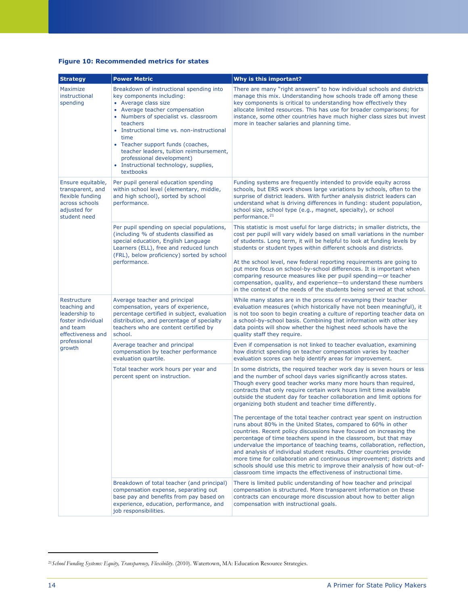#### **Figure 10: Recommended metrics for states**

| <b>Strategy</b>                                                                                                              | <b>Power Metric</b>                                                                                                                                                                                                                                                                                                                                                                                           | Why is this important?                                                                                                                                                                                                                                                                                                                                                                                                                                                                                                                                                                                                                                                                                          |
|------------------------------------------------------------------------------------------------------------------------------|---------------------------------------------------------------------------------------------------------------------------------------------------------------------------------------------------------------------------------------------------------------------------------------------------------------------------------------------------------------------------------------------------------------|-----------------------------------------------------------------------------------------------------------------------------------------------------------------------------------------------------------------------------------------------------------------------------------------------------------------------------------------------------------------------------------------------------------------------------------------------------------------------------------------------------------------------------------------------------------------------------------------------------------------------------------------------------------------------------------------------------------------|
| Maximize<br>instructional<br>spending                                                                                        | Breakdown of instructional spending into<br>key components including:<br>• Average class size<br>• Average teacher compensation<br>• Numbers of specialist vs. classroom<br>teachers<br>• Instructional time vs. non-instructional<br>time<br>• Teacher support funds (coaches,<br>teacher leaders, tuition reimbursement,<br>professional development)<br>• Instructional technology, supplies,<br>textbooks | There are many "right answers" to how individual schools and districts<br>manage this mix. Understanding how schools trade off among these<br>key components is critical to understanding how effectively they<br>allocate limited resources. This has use for broader comparisons; for<br>instance, some other countries have much higher class sizes but invest<br>more in teacher salaries and planning time.                                                                                                                                                                                                                                                                                                |
| Ensure equitable,<br>transparent, and<br>flexible funding<br>across schools<br>adjusted for<br>student need                  | Per pupil general education spending<br>within school level (elementary, middle,<br>and high school), sorted by school<br>performance.                                                                                                                                                                                                                                                                        | Funding systems are frequently intended to provide equity across<br>schools, but ERS work shows large variations by schools, often to the<br>surprise of district leaders. With further analysis district leaders can<br>understand what is driving differences in funding: student population,<br>school size, school type (e.g., magnet, specialty), or school<br>performance. <sup>21</sup>                                                                                                                                                                                                                                                                                                                  |
|                                                                                                                              | Per pupil spending on special populations,<br>(including % of students classified as<br>special education, English Language<br>Learners (ELL), free and reduced lunch<br>(FRL), below proficiency) sorted by school<br>performance.                                                                                                                                                                           | This statistic is most useful for large districts; in smaller districts, the<br>cost per pupil will vary widely based on small variations in the number<br>of students. Long term, it will be helpful to look at funding levels by<br>students or student types within different schools and districts.<br>At the school level, new federal reporting requirements are going to<br>put more focus on school-by-school differences. It is important when<br>comparing resource measures like per pupil spending-or teacher<br>compensation, quality, and experience-to understand these numbers<br>in the context of the needs of the students being served at that school.                                      |
| Restructure<br>teaching and<br>leadership to<br>foster individual<br>and team<br>effectiveness and<br>professional<br>growth | Average teacher and principal<br>compensation, years of experience,<br>percentage certified in subject, evaluation<br>distribution, and percentage of specialty<br>teachers who are content certified by<br>school.                                                                                                                                                                                           | While many states are in the process of revamping their teacher<br>evaluation measures (which historically have not been meaningful), it<br>is not too soon to begin creating a culture of reporting teacher data on<br>a school-by-school basis. Combining that information with other key<br>data points will show whether the highest need schools have the<br>quality staff they require.                                                                                                                                                                                                                                                                                                                   |
|                                                                                                                              | Average teacher and principal<br>compensation by teacher performance<br>evaluation quartile.                                                                                                                                                                                                                                                                                                                  | Even if compensation is not linked to teacher evaluation, examining<br>how district spending on teacher compensation varies by teacher<br>evaluation scores can help identify areas for improvement.                                                                                                                                                                                                                                                                                                                                                                                                                                                                                                            |
|                                                                                                                              | Total teacher work hours per year and<br>percent spent on instruction.                                                                                                                                                                                                                                                                                                                                        | In some districts, the required teacher work day is seven hours or less<br>and the number of school days varies significantly across states.<br>Though every good teacher works many more hours than required,<br>contracts that only require certain work hours limit time available<br>outside the student day for teacher collaboration and limit options for<br>organizing both student and teacher time differently.<br>The percentage of the total teacher contract year spent on instruction<br>runs about 80% in the United States, compared to 60% in other<br>countries. Recent policy discussions have focused on increasing the<br>percentage of time teachers spend in the classroom, but that may |
|                                                                                                                              |                                                                                                                                                                                                                                                                                                                                                                                                               | undervalue the importance of teaching teams, collaboration, reflection,<br>and analysis of individual student results. Other countries provide<br>more time for collaboration and continuous improvement; districts and<br>schools should use this metric to improve their analysis of how out-of-<br>classroom time impacts the effectiveness of instructional time.                                                                                                                                                                                                                                                                                                                                           |
|                                                                                                                              | Breakdown of total teacher (and principal)<br>compensation expense, separating out<br>base pay and benefits from pay based on<br>experience, education, performance, and<br>job responsibilities.                                                                                                                                                                                                             | There is limited public understanding of how teacher and principal<br>compensation is structured. More transparent information on these<br>contracts can encourage more discussion about how to better align<br>compensation with instructional goals.                                                                                                                                                                                                                                                                                                                                                                                                                                                          |

<sup>21</sup>*School Funding Systems: Equity, Transparency, Flexibility*. (2010). Watertown, MA: Education Resource Strategies.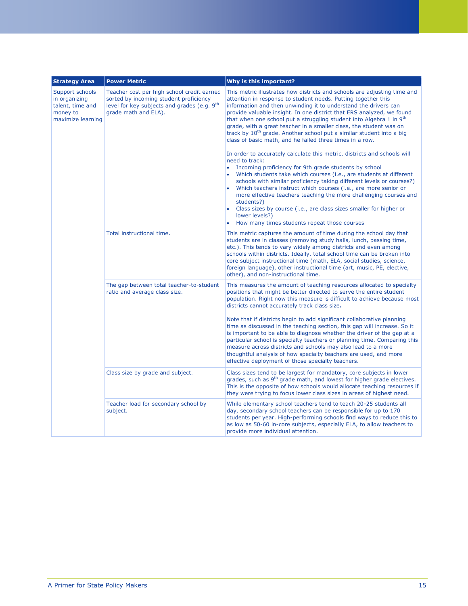| <b>Strategy Area</b>                                                                  | <b>Power Metric</b>                                                                                                                                                     | Why is this important?                                                                                                                                                                                                                                                                                                                                                                                                                                                                                                                                                                                                                                                                                                                                                                                                                                                                                                                                                                                                                                                                                                                                                                                               |
|---------------------------------------------------------------------------------------|-------------------------------------------------------------------------------------------------------------------------------------------------------------------------|----------------------------------------------------------------------------------------------------------------------------------------------------------------------------------------------------------------------------------------------------------------------------------------------------------------------------------------------------------------------------------------------------------------------------------------------------------------------------------------------------------------------------------------------------------------------------------------------------------------------------------------------------------------------------------------------------------------------------------------------------------------------------------------------------------------------------------------------------------------------------------------------------------------------------------------------------------------------------------------------------------------------------------------------------------------------------------------------------------------------------------------------------------------------------------------------------------------------|
| Support schools<br>in organizing<br>talent, time and<br>money to<br>maximize learning | Teacher cost per high school credit earned<br>sorted by incoming student proficiency<br>level for key subjects and grades (e.g. 9 <sup>th</sup><br>grade math and ELA). | This metric illustrates how districts and schools are adjusting time and<br>attention in response to student needs. Putting together this<br>information and then unwinding it to understand the drivers can<br>provide valuable insight. In one district that ERS analyzed, we found<br>that when one school put a struggling student into Algebra 1 in 9 <sup>th</sup><br>grade, with a great teacher in a smaller class, the student was on<br>track by 10 <sup>th</sup> grade. Another school put a similar student into a big<br>class of basic math, and he failed three times in a row.<br>In order to accurately calculate this metric, districts and schools will<br>need to track:<br>Incoming proficiency for 9th grade students by school<br>$\bullet$<br>Which students take which courses (i.e., are students at different<br>schools with similar proficiency taking different levels or courses?)<br>Which teachers instruct which courses (i.e., are more senior or<br>more effective teachers teaching the more challenging courses and<br>students?)<br>Class sizes by course (i.e., are class sizes smaller for higher or<br>ä<br>lower levels?)<br>How many times students repeat those courses |
|                                                                                       | Total instructional time.                                                                                                                                               | This metric captures the amount of time during the school day that<br>students are in classes (removing study halls, lunch, passing time,<br>etc.). This tends to vary widely among districts and even among<br>schools within districts. Ideally, total school time can be broken into<br>core subject instructional time (math, ELA, social studies, science,<br>foreign language), other instructional time (art, music, PE, elective,<br>other), and non-instructional time.                                                                                                                                                                                                                                                                                                                                                                                                                                                                                                                                                                                                                                                                                                                                     |
|                                                                                       | The gap between total teacher-to-student<br>ratio and average class size.                                                                                               | This measures the amount of teaching resources allocated to specialty<br>positions that might be better directed to serve the entire student<br>population. Right now this measure is difficult to achieve because most<br>districts cannot accurately track class size.<br>Note that if districts begin to add significant collaborative planning<br>time as discussed in the teaching section, this gap will increase. So it<br>is important to be able to diagnose whether the driver of the gap at a<br>particular school is specialty teachers or planning time. Comparing this<br>measure across districts and schools may also lead to a more<br>thoughtful analysis of how specialty teachers are used, and more<br>effective deployment of those specialty teachers.                                                                                                                                                                                                                                                                                                                                                                                                                                        |
|                                                                                       | Class size by grade and subject.                                                                                                                                        | Class sizes tend to be largest for mandatory, core subjects in lower<br>grades, such as 9 <sup>th</sup> grade math, and lowest for higher grade electives.<br>This is the opposite of how schools would allocate teaching resources if<br>they were trying to focus lower class sizes in areas of highest need.                                                                                                                                                                                                                                                                                                                                                                                                                                                                                                                                                                                                                                                                                                                                                                                                                                                                                                      |
|                                                                                       | Teacher load for secondary school by<br>subject.                                                                                                                        | While elementary school teachers tend to teach 20-25 students all<br>day, secondary school teachers can be responsible for up to 170<br>students per year. High-performing schools find ways to reduce this to<br>as low as 50-60 in-core subjects, especially ELA, to allow teachers to<br>provide more individual attention.                                                                                                                                                                                                                                                                                                                                                                                                                                                                                                                                                                                                                                                                                                                                                                                                                                                                                       |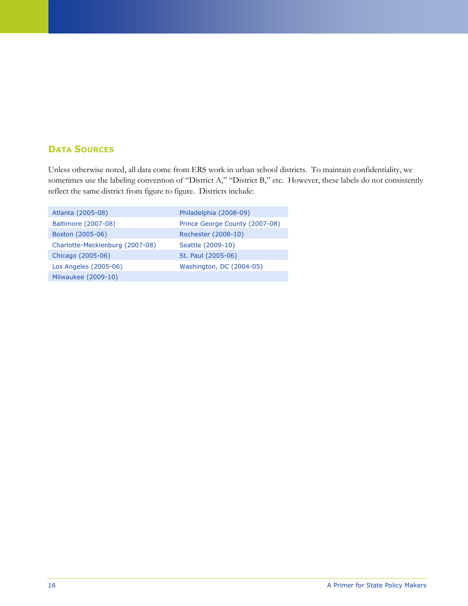## **DATA SOURCES**

Unless otherwise noted, all data come from ERS work in urban school districts. To maintain confidentiality, we sometimes use the labeling convention of "District A," "District B," etc. However, these labels do not consistently reflect the same district from figure to figure. Districts include:

| Atlanta (2005-08)               | Philadelphia (2008-09)         |
|---------------------------------|--------------------------------|
| Baltimore (2007-08)             | Prince George County (2007-08) |
| Boston (2005-06)                | Rochester (2008-10)            |
| Charlotte-Mecklenburg (2007-08) | Seattle (2009-10)              |
| Chicago (2005-06)               | St. Paul (2005-06)             |
| Los Angeles (2005-06)           | Washington, DC (2004-05)       |
| Milwaukee (2009-10)             |                                |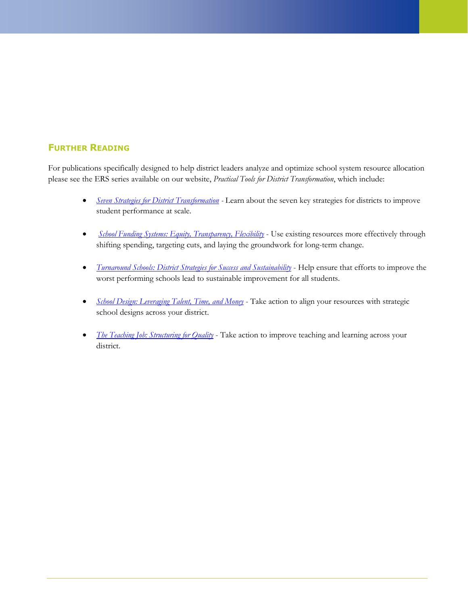## **FURTHER READING**

For publications specifically designed to help district leaders analyze and optimize school system resource allocation please see the ERS series available on our website, *Practical Tools for District Transformation*, which include:

- *[Seven Strategies for District Transformation](http://erstrategies.org/resources/details/seven_strategies/) -* Learn about the seven key strategies for districts to improve student performance at scale.
- **•** *[School Funding Systems: Equity, Transparency, Flexibility](http://erstrategies.org/resources/details/school_funding_systems/)* Use existing resources more effectively through shifting spending, targeting cuts, and laying the groundwork for long-term change.
- *[Turnaround Schools: District Strategies for Success and Sustainability](http://erstrategies.org/resources/details/turnaround_schools/)* Help ensure that efforts to improve the worst performing schools lead to sustainable improvement for all students.
- *[School Design: Leveraging Talent, Time, and Money](http://erstrategies.org/resources/details/school_design/)* Take action to align your resources with strategic school designs across your district.
- *[The Teaching Job: Structuring for Quality](http://erstrategies.org/resources/details/the_teaching_job/)* Take action to improve teaching and learning across your district.